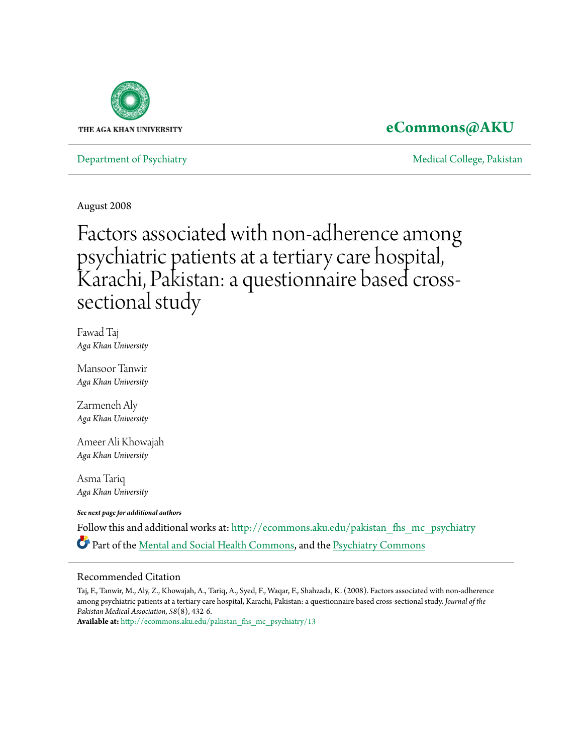

## **[eCommons@AKU](http://ecommons.aku.edu?utm_source=ecommons.aku.edu%2Fpakistan_fhs_mc_psychiatry%2F13&utm_medium=PDF&utm_campaign=PDFCoverPages)**

[Department of Psychiatry](http://ecommons.aku.edu/pakistan_fhs_mc_psychiatry?utm_source=ecommons.aku.edu%2Fpakistan_fhs_mc_psychiatry%2F13&utm_medium=PDF&utm_campaign=PDFCoverPages) New York 1999, Pakistan [Medical College, Pakistan](http://ecommons.aku.edu/pakistan_fhs_mc?utm_source=ecommons.aku.edu%2Fpakistan_fhs_mc_psychiatry%2F13&utm_medium=PDF&utm_campaign=PDFCoverPages) New York 1999, Pakistan New York 1999, Pakistan New York 1999, Pakistan New York 1999, Pakistan New York 1999, Pakistan New York 1999, Pakistan New

August 2008

# Factors associated with non-adherence among psychiatric patients at a tertiary care hospital, Karachi, Pakistan: a questionnaire based crosssectional study

Fawad Taj *Aga Khan University*

Mansoor Tanwir *Aga Khan University*

Zarmeneh Aly *Aga Khan University*

Ameer Ali Khowajah *Aga Khan University*

Asma Tariq *Aga Khan University*

*See next page for additional authors*

Follow this and additional works at: [http://ecommons.aku.edu/pakistan\\_fhs\\_mc\\_psychiatry](http://ecommons.aku.edu/pakistan_fhs_mc_psychiatry?utm_source=ecommons.aku.edu%2Fpakistan_fhs_mc_psychiatry%2F13&utm_medium=PDF&utm_campaign=PDFCoverPages) Part of the [Mental and Social Health Commons](http://network.bepress.com/hgg/discipline/709?utm_source=ecommons.aku.edu%2Fpakistan_fhs_mc_psychiatry%2F13&utm_medium=PDF&utm_campaign=PDFCoverPages), and the [Psychiatry Commons](http://network.bepress.com/hgg/discipline/704?utm_source=ecommons.aku.edu%2Fpakistan_fhs_mc_psychiatry%2F13&utm_medium=PDF&utm_campaign=PDFCoverPages)

### Recommended Citation

Taj, F., Tanwir, M., Aly, Z., Khowajah, A., Tariq, A., Syed, F., Waqar, F., Shahzada, K. (2008). Factors associated with non-adherence among psychiatric patients at a tertiary care hospital, Karachi, Pakistan: a questionnaire based cross-sectional study. *Journal of the Pakistan Medical Association, 58*(8), 432-6.

**Available at:** [http://ecommons.aku.edu/pakistan\\_fhs\\_mc\\_psychiatry/13](http://ecommons.aku.edu/pakistan_fhs_mc_psychiatry/13)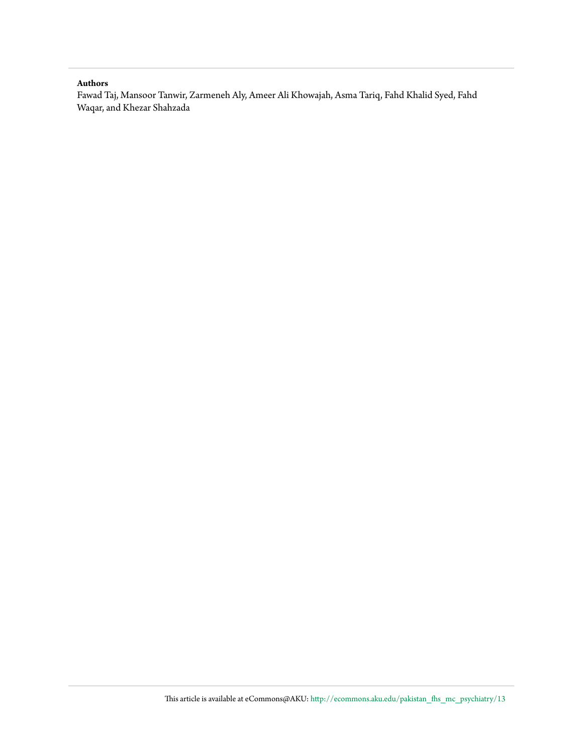#### **Authors**

Fawad Taj, Mansoor Tanwir, Zarmeneh Aly, Ameer Ali Khowajah, Asma Tariq, Fahd Khalid Syed, Fahd Waqar, and Khezar Shahzada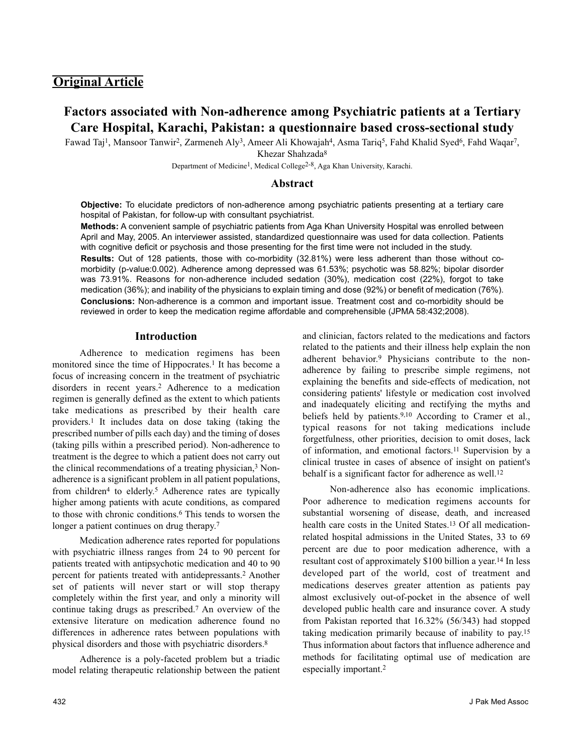## **Original Article**

## **Factors associated with Non-adherence among Psychiatric patients at a Tertiary Care Hospital, Karachi, Pakistan: a questionnaire based cross-sectional study**

Fawad Taj1, Mansoor Tanwir2, Zarmeneh Aly3, Ameer Ali Khowajah4, Asma Tariq5, Fahd Khalid Syed6, Fahd Waqar7, Khezar Shahzada8

Department of Medicine<sup>1</sup>, Medical College<sup>2-8</sup>, Aga Khan University, Karachi.

#### **Abstract**

**Objective:** To elucidate predictors of non-adherence among psychiatric patients presenting at a tertiary care hospital of Pakistan, for follow-up with consultant psychiatrist.

**Methods:** A convenient sample of psychiatric patients from Aga Khan University Hospital was enrolled between April and May, 2005. An interviewer assisted, standardized questionnaire was used for data collection. Patients with cognitive deficit or psychosis and those presenting for the first time were not included in the study.

**Results:** Out of 128 patients, those with co-morbidity (32.81%) were less adherent than those without comorbidity (p-value:0.002). Adherence among depressed was 61.53%; psychotic was 58.82%; bipolar disorder was 73.91%. Reasons for non-adherence included sedation (30%), medication cost (22%), forgot to take medication (36%); and inability of the physicians to explain timing and dose (92%) or benefit of medication (76%). **Conclusions:** Non-adherence is a common and important issue. Treatment cost and co-morbidity should be reviewed in order to keep the medication regime affordable and comprehensible (JPMA 58:432;2008).

#### **Introduction**

Adherence to medication regimens has been monitored since the time of Hippocrates.<sup>1</sup> It has become a focus of increasing concern in the treatment of psychiatric disorders in recent years.2 Adherence to a medication regimen is generally defined as the extent to which patients take medications as prescribed by their health care providers.1 It includes data on dose taking (taking the prescribed number of pills each day) and the timing of doses (taking pills within a prescribed period). Non-adherence to treatment is the degree to which a patient does not carry out the clinical recommendations of a treating physician,<sup>3</sup> Nonadherence is a significant problem in all patient populations, from children4 to elderly.5 Adherence rates are typically higher among patients with acute conditions, as compared to those with chronic conditions.6 This tends to worsen the longer a patient continues on drug therapy.<sup>7</sup>

Medication adherence rates reported for populations with psychiatric illness ranges from 24 to 90 percent for patients treated with antipsychotic medication and 40 to 90 percent for patients treated with antidepressants.2 Another set of patients will never start or will stop therapy completely within the first year, and only a minority will continue taking drugs as prescribed.7 An overview of the extensive literature on medication adherence found no differences in adherence rates between populations with physical disorders and those with psychiatric disorders.8

Adherence is a poly-faceted problem but a triadic model relating therapeutic relationship between the patient and clinician, factors related to the medications and factors related to the patients and their illness help explain the non adherent behavior.9 Physicians contribute to the nonadherence by failing to prescribe simple regimens, not explaining the benefits and side-effects of medication, not considering patients' lifestyle or medication cost involved and inadequately eliciting and rectifying the myths and beliefs held by patients.<sup>9,10</sup> According to Cramer et al., typical reasons for not taking medications include forgetfulness, other priorities, decision to omit doses, lack of information, and emotional factors.11 Supervision by a clinical trustee in cases of absence of insight on patient's behalf is a significant factor for adherence as well.<sup>12</sup>

Non-adherence also has economic implications. Poor adherence to medication regimens accounts for substantial worsening of disease, death, and increased health care costs in the United States.<sup>13</sup> Of all medicationrelated hospital admissions in the United States, 33 to 69 percent are due to poor medication adherence, with a resultant cost of approximately \$100 billion a year.14 In less developed part of the world, cost of treatment and medications deserves greater attention as patients pay almost exclusively out-of-pocket in the absence of well developed public health care and insurance cover. A study from Pakistan reported that 16.32% (56/343) had stopped taking medication primarily because of inability to pay.15 Thus information about factors that influence adherence and methods for facilitating optimal use of medication are especially important.2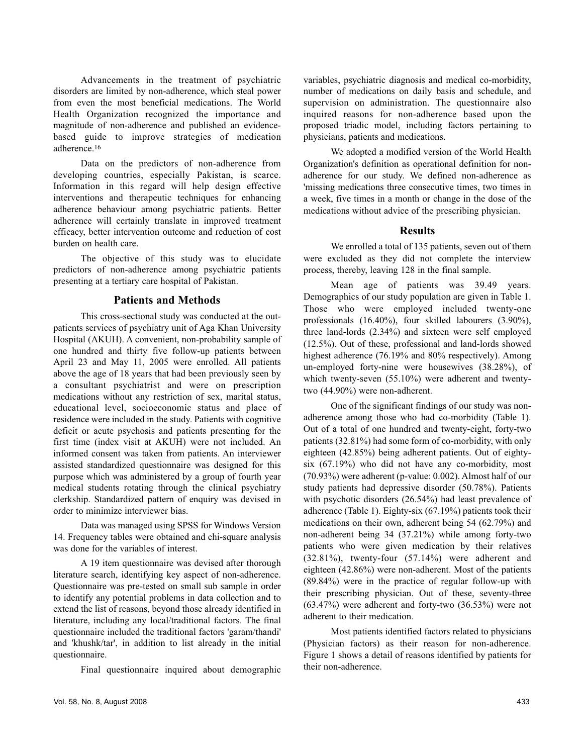Advancements in the treatment of psychiatric disorders are limited by non-adherence, which steal power from even the most beneficial medications. The World Health Organization recognized the importance and magnitude of non-adherence and published an evidencebased guide to improve strategies of medication adherence.16

Data on the predictors of non-adherence from developing countries, especially Pakistan, is scarce. Information in this regard will help design effective interventions and therapeutic techniques for enhancing adherence behaviour among psychiatric patients. Better adherence will certainly translate in improved treatment efficacy, better intervention outcome and reduction of cost burden on health care.

The objective of this study was to elucidate predictors of non-adherence among psychiatric patients presenting at a tertiary care hospital of Pakistan.

#### **Patients and Methods**

This cross-sectional study was conducted at the outpatients services of psychiatry unit of Aga Khan University Hospital (AKUH). A convenient, non-probability sample of one hundred and thirty five follow-up patients between April 23 and May 11, 2005 were enrolled. All patients above the age of 18 years that had been previously seen by a consultant psychiatrist and were on prescription medications without any restriction of sex, marital status, educational level, socioeconomic status and place of residence were included in the study. Patients with cognitive deficit or acute psychosis and patients presenting for the first time (index visit at AKUH) were not included. An informed consent was taken from patients. An interviewer assisted standardized questionnaire was designed for this purpose which was administered by a group of fourth year medical students rotating through the clinical psychiatry clerkship. Standardized pattern of enquiry was devised in order to minimize interviewer bias.

Data was managed using SPSS for Windows Version 14. Frequency tables were obtained and chi-square analysis was done for the variables of interest.

A 19 item questionnaire was devised after thorough literature search, identifying key aspect of non-adherence. Questionnaire was pre-tested on small sub sample in order to identify any potential problems in data collection and to extend the list of reasons, beyond those already identified in literature, including any local/traditional factors. The final questionnaire included the traditional factors 'garam/thandi' and 'khushk/tar', in addition to list already in the initial questionnaire.

Final questionnaire inquired about demographic

variables, psychiatric diagnosis and medical co-morbidity, number of medications on daily basis and schedule, and supervision on administration. The questionnaire also inquired reasons for non-adherence based upon the proposed triadic model, including factors pertaining to physicians, patients and medications.

We adopted a modified version of the World Health Organization's definition as operational definition for nonadherence for our study. We defined non-adherence as 'missing medications three consecutive times, two times in a week, five times in a month or change in the dose of the medications without advice of the prescribing physician.

#### **Results**

We enrolled a total of 135 patients, seven out of them were excluded as they did not complete the interview process, thereby, leaving 128 in the final sample.

Mean age of patients was 39.49 years. Demographics of our study population are given in Table 1. Those who were employed included twenty-one professionals (16.40%), four skilled labourers (3.90%), three land-lords (2.34%) and sixteen were self employed (12.5%). Out of these, professional and land-lords showed highest adherence (76.19% and 80% respectively). Among un-employed forty-nine were housewives (38.28%), of which twenty-seven (55.10%) were adherent and twentytwo (44.90%) were non-adherent.

One of the significant findings of our study was nonadherence among those who had co-morbidity (Table 1). Out of a total of one hundred and twenty-eight, forty-two patients (32.81%) had some form of co-morbidity, with only eighteen (42.85%) being adherent patients. Out of eightysix (67.19%) who did not have any co-morbidity, most (70.93%) were adherent (p-value: 0.002). Almost half of our study patients had depressive disorder (50.78%). Patients with psychotic disorders (26.54%) had least prevalence of adherence (Table 1). Eighty-six (67.19%) patients took their medications on their own, adherent being 54 (62.79%) and non-adherent being 34 (37.21%) while among forty-two patients who were given medication by their relatives (32.81%), twenty-four (57.14%) were adherent and eighteen (42.86%) were non-adherent. Most of the patients (89.84%) were in the practice of regular follow-up with their prescribing physician. Out of these, seventy-three (63.47%) were adherent and forty-two (36.53%) were not adherent to their medication.

Most patients identified factors related to physicians (Physician factors) as their reason for non-adherence. Figure 1 shows a detail of reasons identified by patients for their non-adherence.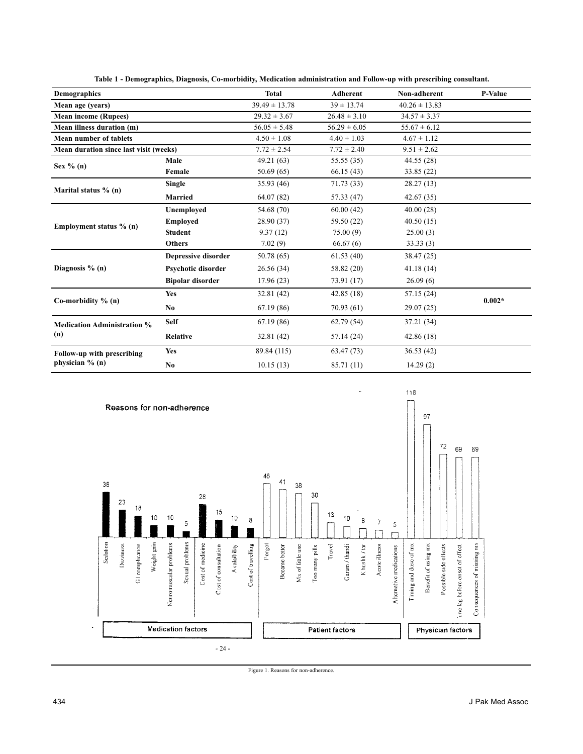| <b>Demographics</b>                              |                         | <b>Total</b>      | <b>Adherent</b>  | Non-adherent      | <b>P-Value</b> |
|--------------------------------------------------|-------------------------|-------------------|------------------|-------------------|----------------|
| Mean age (years)                                 |                         | $39.49 \pm 13.78$ | $39 \pm 13.74$   | $40.26 \pm 13.83$ |                |
| <b>Mean income (Rupees)</b>                      |                         | $29.32 \pm 3.67$  | $26.48 \pm 3.10$ | $34.57 \pm 3.37$  |                |
| Mean illness duration (m)                        |                         | $56.05 \pm 5.48$  | $56.29 \pm 6.05$ | $55.67 \pm 6.12$  |                |
| <b>Mean number of tablets</b>                    |                         | $4.50 \pm 1.08$   | $4.40 \pm 1.03$  | $4.67 \pm 1.12$   |                |
| Mean duration since last visit (weeks)           |                         | $7.72 \pm 2.54$   | $7.72 \pm 2.40$  | $9.51 \pm 2.62$   |                |
| Sex $\%$ (n)                                     | Male                    | 49.21 (63)        | 55.55(35)        | 44.55 (28)        |                |
|                                                  | Female                  | 50.69(65)         | 66.15(43)        | 33.85 (22)        |                |
| Marital status % (n)                             | <b>Single</b>           | 35.93(46)         | 71.73(33)        | 28.27 (13)        |                |
|                                                  | <b>Married</b>          | 64.07(82)         | 57.33 (47)       | 42.67 (35)        |                |
| Employment status % (n)                          | Unemployed              | 54.68 (70)        | 60.00(42)        | 40.00(28)         |                |
|                                                  | <b>Employed</b>         | 28.90 (37)        | 59.50 (22)       | 40.50(15)         |                |
|                                                  | <b>Student</b>          | 9.37(12)          | 75.00(9)         | 25.00(3)          |                |
|                                                  | <b>Others</b>           | 7.02(9)           | 66.67(6)         | 33.33(3)          |                |
| Diagnosis $\%$ (n)                               | Depressive disorder     | 50.78 (65)        | 61.53(40)        | 38.47 (25)        |                |
|                                                  | Psychotic disorder      | 26.56(34)         | 58.82 (20)       | 41.18(14)         |                |
|                                                  | <b>Bipolar disorder</b> | 17.96(23)         | 73.91 (17)       | 26.09(6)          |                |
| Co-morbidity $\%$ (n)                            | Yes                     | 32.81(42)         | 42.85(18)        | 57.15 (24)        | $0.002*$       |
|                                                  | N <sub>0</sub>          | 67.19(86)         | 70.93(61)        | 29.07(25)         |                |
| <b>Medication Administration %</b><br>(n)        | <b>Self</b>             | 67.19(86)         | 62.79(54)        | 37.21 (34)        |                |
|                                                  | <b>Relative</b>         | 32.81(42)         | 57.14 (24)       | 42.86(18)         |                |
| Follow-up with prescribing<br>physician $\%$ (n) | <b>Yes</b>              | 89.84 (115)       | 63.47(73)        | 36.53(42)         |                |
|                                                  | No.                     | 10.15(13)         | 85.71 (11)       | 14.29(2)          |                |

**Table 1 - Demographics, Diagnosis, Co-morbidity, Medication administration and Follow-up with prescribing consultant.**



Figure 1. Reasons for non-adherence.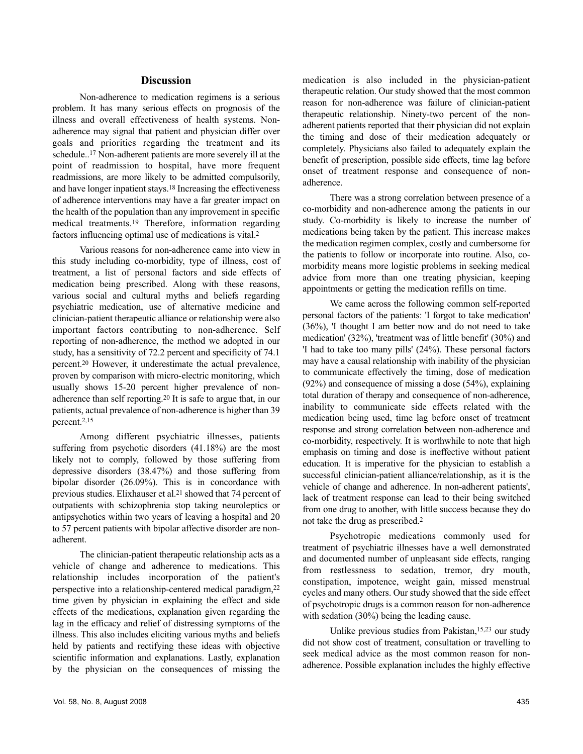#### **Discussion**

Non-adherence to medication regimens is a serious problem. It has many serious effects on prognosis of the illness and overall effectiveness of health systems. Nonadherence may signal that patient and physician differ over goals and priorities regarding the treatment and its schedule..17 Non-adherent patients are more severely ill at the point of readmission to hospital, have more frequent readmissions, are more likely to be admitted compulsorily, and have longer inpatient stays.18 Increasing the effectiveness of adherence interventions may have a far greater impact on the health of the population than any improvement in specific medical treatments.19 Therefore, information regarding factors influencing optimal use of medications is vital.2

Various reasons for non-adherence came into view in this study including co-morbidity, type of illness, cost of treatment, a list of personal factors and side effects of medication being prescribed. Along with these reasons, various social and cultural myths and beliefs regarding psychiatric medication, use of alternative medicine and clinician-patient therapeutic alliance or relationship were also important factors contributing to non-adherence. Self reporting of non-adherence, the method we adopted in our study, has a sensitivity of 72.2 percent and specificity of 74.1 percent.20 However, it underestimate the actual prevalence, proven by comparison with micro-electric monitoring, which usually shows 15-20 percent higher prevalence of nonadherence than self reporting.20 It is safe to argue that, in our patients, actual prevalence of non-adherence is higher than 39 percent.2,15

Among different psychiatric illnesses, patients suffering from psychotic disorders (41.18%) are the most likely not to comply, followed by those suffering from depressive disorders (38.47%) and those suffering from bipolar disorder (26.09%). This is in concordance with previous studies. Elixhauser et al.21 showed that 74 percent of outpatients with schizophrenia stop taking neuroleptics or antipsychotics within two years of leaving a hospital and 20 to 57 percent patients with bipolar affective disorder are nonadherent.

The clinician-patient therapeutic relationship acts as a vehicle of change and adherence to medications. This relationship includes incorporation of the patient's perspective into a relationship-centered medical paradigm,22 time given by physician in explaining the effect and side effects of the medications, explanation given regarding the lag in the efficacy and relief of distressing symptoms of the illness. This also includes eliciting various myths and beliefs held by patients and rectifying these ideas with objective scientific information and explanations. Lastly, explanation by the physician on the consequences of missing the medication is also included in the physician-patient therapeutic relation. Our study showed that the most common reason for non-adherence was failure of clinician-patient therapeutic relationship. Ninety-two percent of the nonadherent patients reported that their physician did not explain the timing and dose of their medication adequately or completely. Physicians also failed to adequately explain the benefit of prescription, possible side effects, time lag before onset of treatment response and consequence of nonadherence.

There was a strong correlation between presence of a co-morbidity and non-adherence among the patients in our study. Co-morbidity is likely to increase the number of medications being taken by the patient. This increase makes the medication regimen complex, costly and cumbersome for the patients to follow or incorporate into routine. Also, comorbidity means more logistic problems in seeking medical advice from more than one treating physician, keeping appointments or getting the medication refills on time.

We came across the following common self-reported personal factors of the patients: 'I forgot to take medication' (36%), 'I thought I am better now and do not need to take medication' (32%), 'treatment was of little benefit' (30%) and 'I had to take too many pills' (24%). These personal factors may have a causal relationship with inability of the physician to communicate effectively the timing, dose of medication (92%) and consequence of missing a dose (54%), explaining total duration of therapy and consequence of non-adherence, inability to communicate side effects related with the medication being used, time lag before onset of treatment response and strong correlation between non-adherence and co-morbidity, respectively. It is worthwhile to note that high emphasis on timing and dose is ineffective without patient education. It is imperative for the physician to establish a successful clinician-patient alliance/relationship, as it is the vehicle of change and adherence. In non-adherent patients', lack of treatment response can lead to their being switched from one drug to another, with little success because they do not take the drug as prescribed.2

Psychotropic medications commonly used for treatment of psychiatric illnesses have a well demonstrated and documented number of unpleasant side effects, ranging from restlessness to sedation, tremor, dry mouth, constipation, impotence, weight gain, missed menstrual cycles and many others. Our study showed that the side effect of psychotropic drugs is a common reason for non-adherence with sedation (30%) being the leading cause.

Unlike previous studies from Pakistan,15,23 our study did not show cost of treatment, consultation or travelling to seek medical advice as the most common reason for nonadherence. Possible explanation includes the highly effective